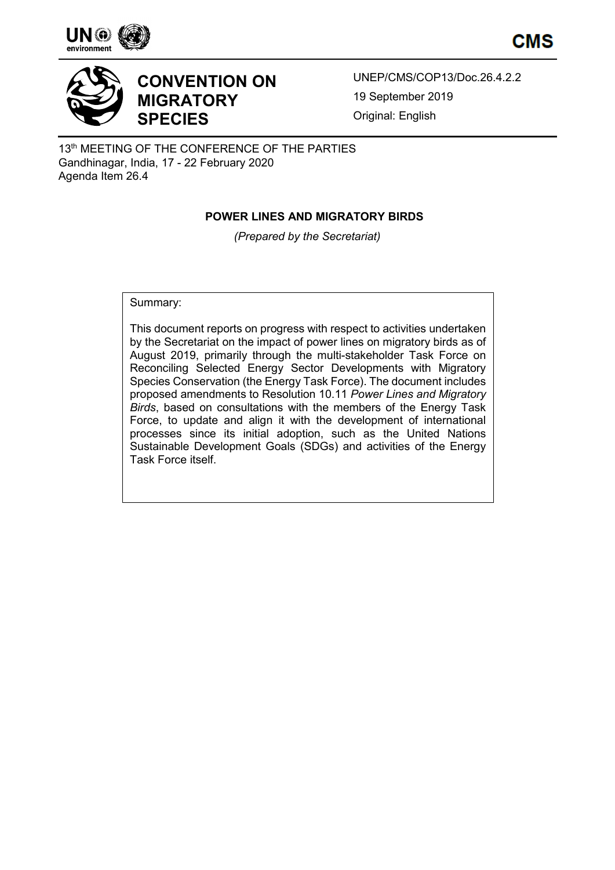





# **CONVENTION ON MIGRATORY SPECIES**

UNEP/CMS/COP13/Doc.26.4.2.2 19 September 2019 Original: English

13<sup>th</sup> MEETING OF THE CONFERENCE OF THE PARTIES Gandhinagar, India, 17 - 22 February 2020 Agenda Item 26.4

# **POWER LINES AND MIGRATORY BIRDS**

*(Prepared by the Secretariat)*

Summary:

This document reports on progress with respect to activities undertaken by the Secretariat on the impact of power lines on migratory birds as of August 2019, primarily through the multi-stakeholder Task Force on Reconciling Selected Energy Sector Developments with Migratory Species Conservation (the Energy Task Force). The document includes proposed amendments to Resolution 10.11 *Power Lines and Migratory Birds*, based on consultations with the members of the Energy Task Force, to update and align it with the development of international processes since its initial adoption, such as the United Nations Sustainable Development Goals (SDGs) and activities of the Energy Task Force itself.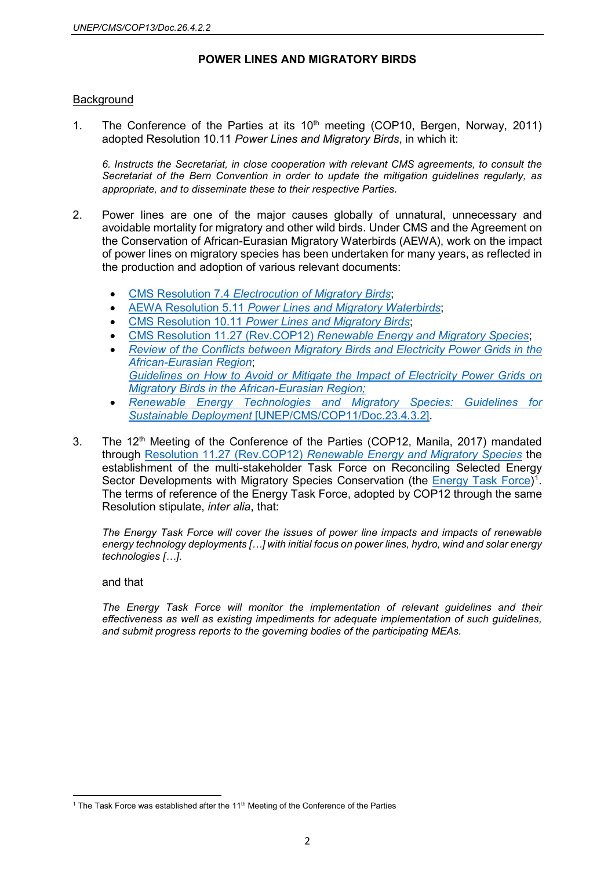### **POWER LINES AND MIGRATORY BIRDS**

### Background

1. The Conference of the Parties at its  $10<sup>th</sup>$  meeting (COP10, Bergen, Norway, 2011) adopted Resolution 10.11 *Power Lines and Migratory Birds*, in which it:

*6. Instructs the Secretariat, in close cooperation with relevant CMS agreements, to consult the Secretariat of the Bern Convention in order to update the mitigation guidelines regularly, as appropriate, and to disseminate these to their respective Parties.*

- 2. Power lines are one of the major causes globally of unnatural, unnecessary and avoidable mortality for migratory and other wild birds. Under CMS and the Agreement on the Conservation of African-Eurasian Migratory Waterbirds (AEWA), work on the impact of power lines on migratory species has been undertaken for many years, as reflected in the production and adoption of various relevant documents:
	- CMS Resolution 7.4 *[Electrocution of Migratory Birds](https://www.cms.int/en/document/electrocution-migratory-birds)*;
	- AEWA Resolution 5.11 *[Power Lines and Migratory Waterbirds](https://www.unep-aewa.org/en/document/power-lines-and-migratory-waterbirds)*;
	- CMS Resolution 10.11 *[Power Lines and Migratory Birds](https://www.cms.int/en/document/power-lines-and-migratory-birds)*;
	- CMS Resolution 11.27 (Rev.COP12) *[Renewable Energy and Migratory Species](https://www.cms.int/en/document/renewable-energy-and-migratory-species-2)*;
	- *[Review of the Conflicts between Migratory Birds and Electricity Power Grids in the](https://www.cms.int/sites/default/files/document/inf_38_electrocution_review_0.pdf)  [African-Eurasian Region](https://www.cms.int/sites/default/files/document/inf_38_electrocution_review_0.pdf)*; *[Guidelines on How to Avoid or Mitigate the Impact of Electricity Power Grids on](https://www.unep-aewa.org/sites/default/files/publication/ts50_electr_guidelines_03122014.pdf)  [Migratory Birds in the African-Eurasian Region;](https://www.unep-aewa.org/sites/default/files/publication/ts50_electr_guidelines_03122014.pdf)*
	- *[Renewable Energy Technologies and Migratory Species: Guidelines for](https://www.cms.int/sites/default/files/document/COP11_Doc_23_4_3_2_Renewable_Energy_Technologies_Guidelines_E.pdf)  Sustainable Deployment* [\[UNEP/CMS/COP11/Doc.23.4.3.2\].](https://www.cms.int/sites/default/files/document/COP11_Doc_23_4_3_2_Renewable_Energy_Technologies_Guidelines_E.pdf)
- 3. The 12<sup>th</sup> Meeting of the Conference of the Parties (COP12, Manila, 2017) mandated through Resolution 11.27 (Rev.COP12) *[Renewable Energy and Migratory Species](https://www.cms.int/en/document/renewable-energy-and-migratory-species-2)* the establishment of the multi-stakeholder Task Force on Reconciling Selected Energy Sector Developments with Migratory Species Conservation (the **Energy Task Force)**<sup>[1](#page-1-0)</sup>. The terms of reference of the Energy Task Force, adopted by COP12 through the same Resolution stipulate, *inter alia*, that:

*The Energy Task Force will cover the issues of power line impacts and impacts of renewable energy technology deployments […] with initial focus on power lines, hydro, wind and solar energy technologies […]*.

#### and that

 $\overline{a}$ 

*The Energy Task Force will monitor the implementation of relevant guidelines and their effectiveness as well as existing impediments for adequate implementation of such guidelines, and submit progress reports to the governing bodies of the participating MEAs.* 

<span id="page-1-0"></span><sup>&</sup>lt;sup>1</sup> The Task Force was established after the  $11<sup>th</sup>$  Meeting of the Conference of the Parties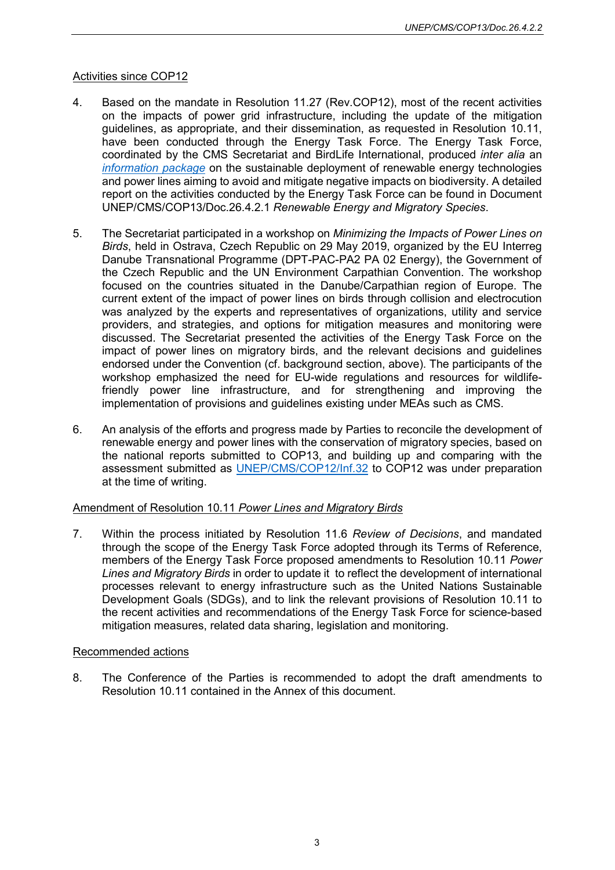# Activities since COP12

- 4. Based on the mandate in Resolution 11.27 (Rev.COP12), most of the recent activities on the impacts of power grid infrastructure, including the update of the mitigation guidelines, as appropriate, and their dissemination, as requested in Resolution 10.11, have been conducted through the Energy Task Force. The Energy Task Force, coordinated by the CMS Secretariat and BirdLife International, produced *inter alia* an *[information package](https://www.cms.int/sites/default/files/document/etf3_inf.6_information-package.pdf)* on the sustainable deployment of renewable energy technologies and power lines aiming to avoid and mitigate negative impacts on biodiversity. A detailed report on the activities conducted by the Energy Task Force can be found in Document UNEP/CMS/COP13/Doc.26.4.2.1 *Renewable Energy and Migratory Species*.
- 5. The Secretariat participated in a workshop on *Minimizing the Impacts of Power Lines on Birds*, held in Ostrava, Czech Republic on 29 May 2019, organized by the EU Interreg Danube Transnational Programme (DPT-PAC-PA2 PA 02 Energy), the Government of the Czech Republic and the UN Environment Carpathian Convention. The workshop focused on the countries situated in the Danube/Carpathian region of Europe. The current extent of the impact of power lines on birds through collision and electrocution was analyzed by the experts and representatives of organizations, utility and service providers, and strategies, and options for mitigation measures and monitoring were discussed. The Secretariat presented the activities of the Energy Task Force on the impact of power lines on migratory birds, and the relevant decisions and guidelines endorsed under the Convention (cf. background section, above). The participants of the workshop emphasized the need for EU-wide regulations and resources for wildlifefriendly power line infrastructure, and for strengthening and improving the implementation of provisions and guidelines existing under MEAs such as CMS.
- 6. An analysis of the efforts and progress made by Parties to reconcile the development of renewable energy and power lines with the conservation of migratory species, based on the national reports submitted to COP13, and building up and comparing with the assessment submitted as [UNEP/CMS/COP12/Inf.32](https://www.cms.int/sites/default/files/document/etf3_inf.8_cms_cop12_inf.32_information-paper-cms-report-analysis_e.pdf) to COP12 was under preparation at the time of writing.

# Amendment of Resolution 10.11 *Power Lines and Migratory Birds*

7. Within the process initiated by Resolution 11.6 *Review of Decisions*, and mandated through the scope of the Energy Task Force adopted through its Terms of Reference, members of the Energy Task Force proposed amendments to Resolution 10.11 *Power Lines and Migratory Birds* in order to update it to reflect the development of international processes relevant to energy infrastructure such as the United Nations Sustainable Development Goals (SDGs), and to link the relevant provisions of Resolution 10.11 to the recent activities and recommendations of the Energy Task Force for science-based mitigation measures, related data sharing, legislation and monitoring.

### Recommended actions

8. The Conference of the Parties is recommended to adopt the draft amendments to Resolution 10.11 contained in the Annex of this document.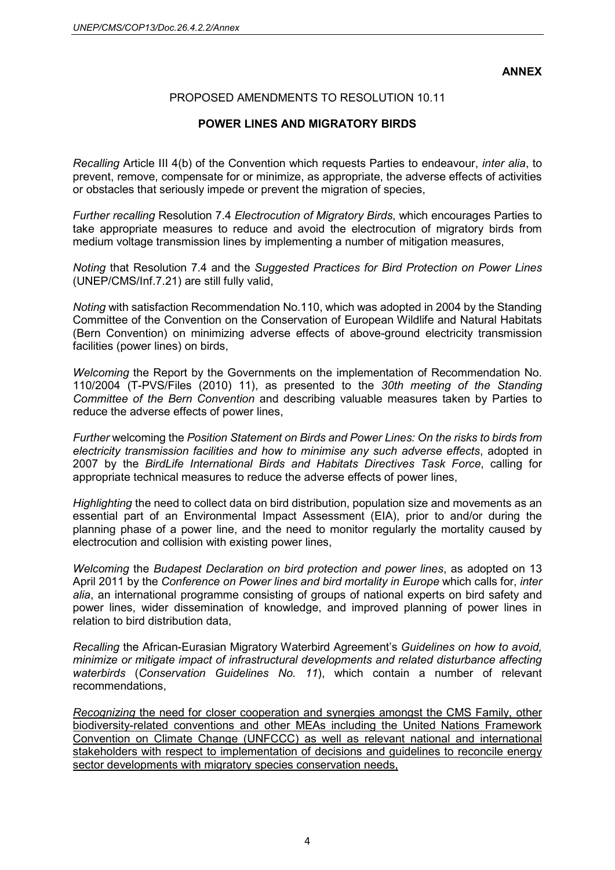**ANNEX**

# PROPOSED AMENDMENTS TO RESOLUTION 10.11

# **POWER LINES AND MIGRATORY BIRDS**

*Recalling* Article III 4(b) of the Convention which requests Parties to endeavour, *inter alia*, to prevent, remove, compensate for or minimize, as appropriate, the adverse effects of activities or obstacles that seriously impede or prevent the migration of species,

*Further recalling* Resolution 7.4 *Electrocution of Migratory Birds*, which encourages Parties to take appropriate measures to reduce and avoid the electrocution of migratory birds from medium voltage transmission lines by implementing a number of mitigation measures,

*Noting* that Resolution 7.4 and the *Suggested Practices for Bird Protection on Power Lines* (UNEP/CMS/Inf.7.21) are still fully valid,

*Noting* with satisfaction Recommendation No.110, which was adopted in 2004 by the Standing Committee of the Convention on the Conservation of European Wildlife and Natural Habitats (Bern Convention) on minimizing adverse effects of above-ground electricity transmission facilities (power lines) on birds,

*Welcoming* the Report by the Governments on the implementation of Recommendation No. 110/2004 (T-PVS/Files (2010) 11), as presented to the *30th meeting of the Standing Committee of the Bern Convention* and describing valuable measures taken by Parties to reduce the adverse effects of power lines,

*Further* welcoming the *Position Statement on Birds and Power Lines: On the risks to birds from electricity transmission facilities and how to minimise any such adverse effects*, adopted in 2007 by the *BirdLife International Birds and Habitats Directives Task Force*, calling for appropriate technical measures to reduce the adverse effects of power lines,

*Highlighting* the need to collect data on bird distribution, population size and movements as an essential part of an Environmental Impact Assessment (EIA), prior to and/or during the planning phase of a power line, and the need to monitor regularly the mortality caused by electrocution and collision with existing power lines,

*Welcoming* the *Budapest Declaration on bird protection and power lines*, as adopted on 13 April 2011 by the *Conference on Power lines and bird mortality in Europe* which calls for, *inter alia*, an international programme consisting of groups of national experts on bird safety and power lines, wider dissemination of knowledge, and improved planning of power lines in relation to bird distribution data,

*Recalling* the African-Eurasian Migratory Waterbird Agreement's *Guidelines on how to avoid, minimize or mitigate impact of infrastructural developments and related disturbance affecting waterbirds* (*Conservation Guidelines No. 11*), which contain a number of relevant recommendations,

*Recognizing* the need for closer cooperation and synergies amongst the CMS Family, other biodiversity-related conventions and other MEAs including the United Nations Framework Convention on Climate Change (UNFCCC) as well as relevant national and international stakeholders with respect to implementation of decisions and guidelines to reconcile energy sector developments with migratory species conservation needs,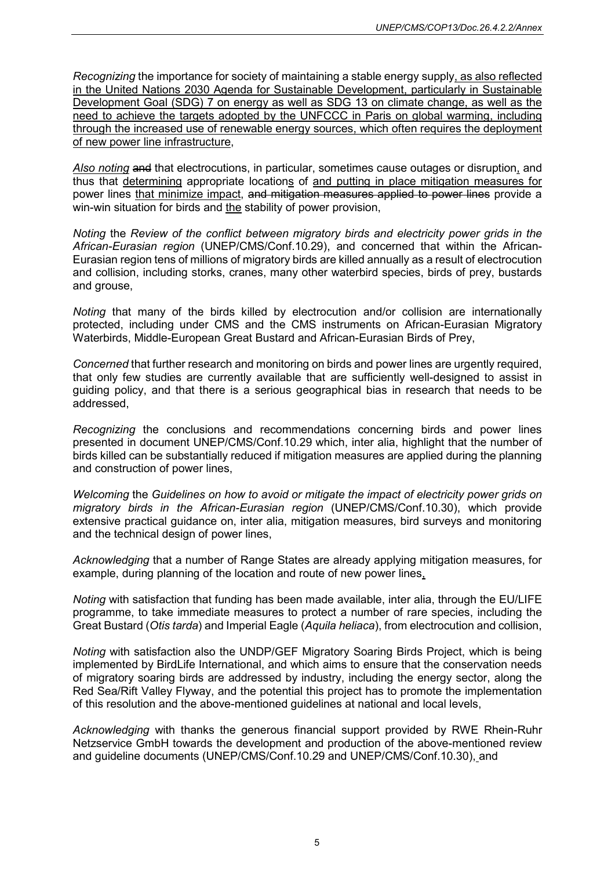*Recognizing* the importance for society of maintaining a stable energy supply, as also reflected in the United Nations 2030 Agenda for Sustainable Development, particularly in Sustainable Development Goal (SDG) 7 on energy as well as SDG 13 on climate change, as well as the need to achieve the targets adopted by the UNFCCC in Paris on global warming, including through the increased use of renewable energy sources, which often requires the deployment of new power line infrastructure,

*Also noting* and that electrocutions, in particular, sometimes cause outages or disruption, and thus that determining appropriate locations of and putting in place mitigation measures for power lines that minimize impact, and mitigation measures applied to power lines provide a win-win situation for birds and the stability of power provision,

*Noting* the *Review of the conflict between migratory birds and electricity power grids in the African-Eurasian region* (UNEP/CMS/Conf.10.29), and concerned that within the African-Eurasian region tens of millions of migratory birds are killed annually as a result of electrocution and collision, including storks, cranes, many other waterbird species, birds of prey, bustards and grouse,

*Noting* that many of the birds killed by electrocution and/or collision are internationally protected, including under CMS and the CMS instruments on African-Eurasian Migratory Waterbirds, Middle-European Great Bustard and African-Eurasian Birds of Prey,

*Concerned* that further research and monitoring on birds and power lines are urgently required, that only few studies are currently available that are sufficiently well-designed to assist in guiding policy, and that there is a serious geographical bias in research that needs to be addressed,

*Recognizing* the conclusions and recommendations concerning birds and power lines presented in document UNEP/CMS/Conf.10.29 which, inter alia, highlight that the number of birds killed can be substantially reduced if mitigation measures are applied during the planning and construction of power lines,

*Welcoming* the *Guidelines on how to avoid or mitigate the impact of electricity power grids on migratory birds in the African-Eurasian region* (UNEP/CMS/Conf.10.30), which provide extensive practical guidance on, inter alia, mitigation measures, bird surveys and monitoring and the technical design of power lines,

*Acknowledging* that a number of Range States are already applying mitigation measures, for example, during planning of the location and route of new power lines,

*Noting* with satisfaction that funding has been made available, inter alia, through the EU/LIFE programme, to take immediate measures to protect a number of rare species, including the Great Bustard (*Otis tarda*) and Imperial Eagle (*Aquila heliaca*), from electrocution and collision,

*Noting* with satisfaction also the UNDP/GEF Migratory Soaring Birds Project, which is being implemented by BirdLife International, and which aims to ensure that the conservation needs of migratory soaring birds are addressed by industry, including the energy sector, along the Red Sea/Rift Valley Flyway, and the potential this project has to promote the implementation of this resolution and the above-mentioned guidelines at national and local levels,

*Acknowledging* with thanks the generous financial support provided by RWE Rhein-Ruhr Netzservice GmbH towards the development and production of the above-mentioned review and guideline documents (UNEP/CMS/Conf.10.29 and UNEP/CMS/Conf.10.30), and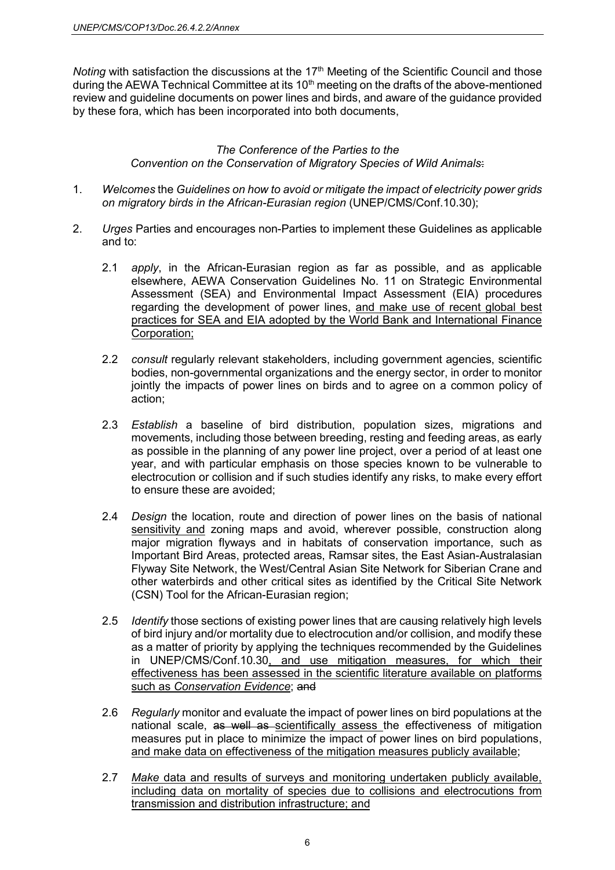*Noting* with satisfaction the discussions at the 17<sup>th</sup> Meeting of the Scientific Council and those during the AEWA Technical Committee at its 10<sup>th</sup> meeting on the drafts of the above-mentioned review and guideline documents on power lines and birds, and aware of the guidance provided by these fora, which has been incorporated into both documents,

### *The Conference of the Parties to the Convention on the Conservation of Migratory Species of Wild Animals*:

- 1. *Welcomes* the *Guidelines on how to avoid or mitigate the impact of electricity power grids on migratory birds in the African-Eurasian region* (UNEP/CMS/Conf.10.30);
- 2. *Urges* Parties and encourages non-Parties to implement these Guidelines as applicable and to:
	- 2.1 *apply*, in the African-Eurasian region as far as possible, and as applicable elsewhere, AEWA Conservation Guidelines No. 11 on Strategic Environmental Assessment (SEA) and Environmental Impact Assessment (EIA) procedures regarding the development of power lines, and make use of recent global best practices for SEA and EIA adopted by the World Bank and International Finance Corporation;
	- 2.2 *consult* regularly relevant stakeholders, including government agencies, scientific bodies, non-governmental organizations and the energy sector, in order to monitor jointly the impacts of power lines on birds and to agree on a common policy of action;
	- 2.3 *Establish* a baseline of bird distribution, population sizes, migrations and movements, including those between breeding, resting and feeding areas, as early as possible in the planning of any power line project, over a period of at least one year, and with particular emphasis on those species known to be vulnerable to electrocution or collision and if such studies identify any risks, to make every effort to ensure these are avoided;
	- 2.4 *Design* the location, route and direction of power lines on the basis of national sensitivity and zoning maps and avoid, wherever possible, construction along major migration flyways and in habitats of conservation importance, such as Important Bird Areas, protected areas, Ramsar sites, the East Asian-Australasian Flyway Site Network, the West/Central Asian Site Network for Siberian Crane and other waterbirds and other critical sites as identified by the Critical Site Network (CSN) Tool for the African-Eurasian region;
	- 2.5 *Identify* those sections of existing power lines that are causing relatively high levels of bird injury and/or mortality due to electrocution and/or collision, and modify these as a matter of priority by applying the techniques recommended by the Guidelines in UNEP/CMS/Conf.10.30, and use mitigation measures, for which their effectiveness has been assessed in the scientific literature available on platforms such as *Conservation Evidence*; and
	- 2.6 *Regularly* monitor and evaluate the impact of power lines on bird populations at the national scale, as well as scientifically assess the effectiveness of mitigation measures put in place to minimize the impact of power lines on bird populations, and make data on effectiveness of the mitigation measures publicly available;
	- 2.7 *Make* data and results of surveys and monitoring undertaken publicly available, including data on mortality of species due to collisions and electrocutions from transmission and distribution infrastructure; and